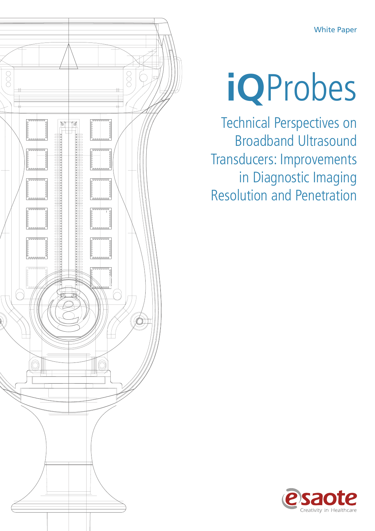White Paper



# **iQ**Probes

Technical Perspectives on Broadband Ultrasound Transducers: Improvements in Diagnostic Imaging Resolution and Penetration

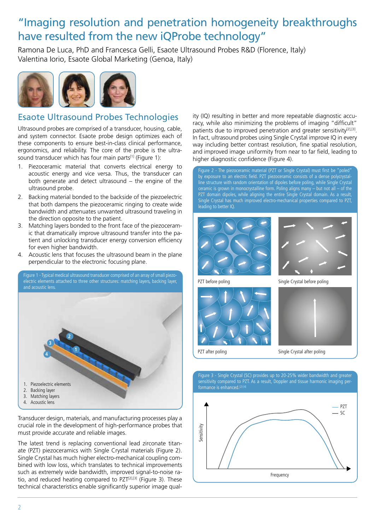## "Imaging resolution and penetration homogeneity breakthroughs have resulted from the new iQProbe technology"

Ramona De Luca, PhD and Francesca Gelli, Esaote Ultrasound Probes R&D (Florence, Italy) Valentina Iorio, Esaote Global Marketing (Genoa, Italy)



#### Esaote Ultrasound Probes Technologies

Ultrasound probes are comprised of a transducer, housing, cable, and system connector. Esaote probe design optimizes each of these components to ensure best-in-class clinical performance, ergonomics, and reliability. The core of the probe is the ultrasound transducer which has four main parts<sup>[1]</sup> (Figure 1):

- 1. Piezoceramic material that converts electrical energy to acoustic energy and vice versa. Thus, the transducer can both generate and detect ultrasound – the engine of the ultrasound probe.
- 2. Backing material bonded to the backside of the piezoelectric that both dampens the piezoceramic ringing to create wide bandwidth and attenuates unwanted ultrasound traveling in the direction opposite to the patient.
- 3. Matching layers bonded to the front face of the piezoceramic that dramatically improve ultrasound transfer into the patient and unlocking transducer energy conversion efficiency for even higher bandwidth.
- 4. Acoustic lens that focuses the ultrasound beam in the plane perpendicular to the electronic focusing plane.

1. Piezoelectric elements 2. Backing layer 3. Matching layers 4. Acoustic lens **4 3 1 2** Figure 1 - Typical medical ultrasound transducer comprised of an array of small piezoelectric elements attached to three other structures: matching layers, backing layer, and acoustic lens.

Transducer design, materials, and manufacturing processes play a crucial role in the development of high-performance probes that must provide accurate and reliable images.

The latest trend is replacing conventional lead zirconate titanate (PZT) piezoceramics with Single Crystal materials (Figure 2). Single Crystal has much higher electro-mechanical coupling combined with low loss, which translates to technical improvements such as extremely wide bandwidth, improved signal-to-noise ratio, and reduced heating compared to PZT<sup>[2],[3]</sup> (Figure 3). These technical characteristics enable significantly superior image qual-

ity (IQ) resulting in better and more repeatable diagnostic accuracy, while also minimizing the problems of imaging "difficult" patients due to improved penetration and greater sensitivity<sup>[2],[3]</sup>. In fact, ultrasound probes using Single Crystal improve IQ in every way including better contrast resolution, fine spatial resolution, and improved image uniformity from near to far field, leading to higher diagnostic confidence (Figure 4).

Figure 2 - The piezoceramic material (PZT or Single Crystal) must first be "poled" by exposure to an electric field. PZT piezoceramic consists of a dense polycrystalline structure with random orientation of dipoles before poling, while Single Crystal ceramic is grown in monocrystalline form. Poling aligns many – but not all – of the PZT domain dipoles, while aligning the entire Single Crystal domain. As a result, Single Crystal has much improved electro-mechanical properties compared to PZT, leading to better IQ.





PZT before poling extending the Single Crystal before poling



PZT after poling Single Crystal after poling



Figure 3 - Single Crystal (SC) provides up to 20-25% wider bandwidth and greater

2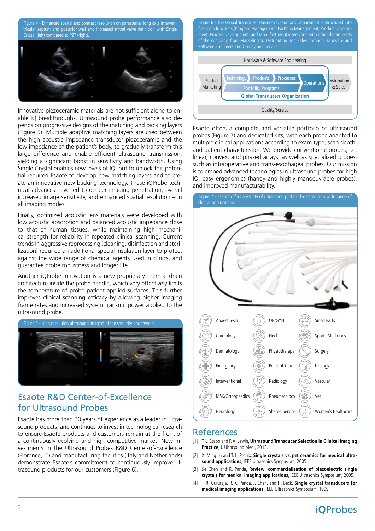Figure 4 - Enhanced spatial and contrast resolution on parasternal long axis, interventricular septum and posterior wall and increased mitral valve definition with Single Crystal (left) compared to PZT (right).



Innovative piezoceramic materials are not sufficient alone to enable IQ breakthroughs. Ultrasound probe performance also depends on progressive designs of the matching and backing layers (Figure 5). Multiple adaptive matching layers are used between the high acoustic impedance transducer piezoceramic and the low impedance of the patient's body, to gradually transform this large difference and enable efficient ultrasound transmission, yielding a significant boost in sensitivity and bandwidth. Using Single Crystal enables new levels of IQ, but to unlock this potential required Esaote to develop new matching layers and to create an innovative new backing technology. These iQProbe technical advances have led to deeper imaging penetration, overall increased image sensitivity, and enhanced spatial resolution – in all imaging modes.

Finally, optimized acoustic lens materials were developed with low acoustic absorption and balanced acoustic impedance close to that of human tissues, while maintaining high mechanical strength for reliability in repeated clinical scanning. Current trends in aggressive reprocessing (cleaning, disinfection and sterilization) required an additional special insulation layer to protect against the wide range of chemical agents used in clinics, and guarantee probe robustness and longer life.

Another iQProbe innovation is a new proprietary thermal drain architecture inside the probe handle, which very effectively limits the temperature of probe patient applied surfaces. This further improves clinical scanning efficacy by allowing higher imaging frame rates and increased system transmit power applied to the ultrasound probe.



#### Esaote R&D Center-of-Excellence for Ultrasound Probes

Esaote has more than 30 years of experience as a leader in ultrasound products, and continues to invest in technological research to ensure Esaote products and customers remain at the front of a continuously evolving and high competitive market. New investments in the Ultrasound Probes R&D Center-of-Excellence (Florence, IT) and manufacturing facilities (Italy and Netherlands) demonstrate Esaote's commitment to continuously improve ultrasound products for our customers (Figure 6).

Figure 6 - The Global Transducer Business Operations Department is structured into five main functions (Program Management, Portfolio Management, Product Development, Process Development, and Manufacturing) interacting with other departments of the company, from Marketing to Distribution and Sales, through Hardware and Software Engineers and Quality and Service.



Esaote offers a complete and versatile portfolio of ultrasound probes (Figure 7) and dedicated kits, with each probe adapted to multiple clinical applications according to exam type, scan depth, and patient characteristics. We provide conventional probes, i.e. linear, convex, and phased arrays, as well as specialized probes, such as intraoperative and trans-esophageal probes. Our mission is to embed advanced technologies in ultrasound probes for high IQ, easy ergonomics (handy and highly manoeuvrable probes), and improved manufacturability.



#### References

- [1] T. L. Szabo and P. A. Lewin, **Ultrasound Transducer Selection in Clinical Imaging Practice**, J. Ultrasound Med., 2013.
- [2] X. Ming Lu and T. L. Proulx, **Single crystals vs. pzt ceramics for medical ultrasound applications**, IEEE Ultrasonics Symposium, 2005.
- [3] Jie Chen and R. Panda, **Review: commercialization of piezoelectric single crystals for medical imaging applications**, IEEE Ultrasonics Symposium, 2005.
- [4] T. R. Gururaja, R. K. Panda, J. Chen, and H. Beck, **Single crystal transducers for medical imaging applications**, IEEE Ultrasonics Symposium, 1999.